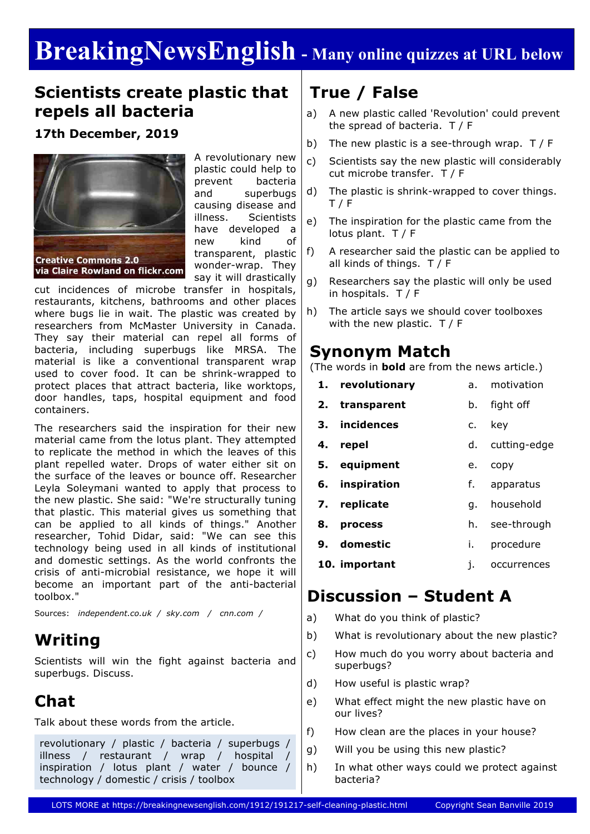# **BreakingNewsEnglish - Many online quizzes at URL below**

### **Scientists create plastic that repels all bacteria**

#### **17th December, 2019**



A revolutionary new plastic could help to prevent bacteria and superbugs causing disease and illness. Scientists have developed a new kind of transparent, plastic wonder-wrap. They say it will drastically

cut incidences of microbe transfer in hospitals, restaurants, kitchens, bathrooms and other places where bugs lie in wait. The plastic was created by researchers from McMaster University in Canada. They say their material can repel all forms of bacteria, including superbugs like MRSA. The material is like a conventional transparent wrap used to cover food. It can be shrink-wrapped to protect places that attract bacteria, like worktops, door handles, taps, hospital equipment and food containers.

The researchers said the inspiration for their new material came from the lotus plant. They attempted to replicate the method in which the leaves of this plant repelled water. Drops of water either sit on the surface of the leaves or bounce off. Researcher Leyla Soleymani wanted to apply that process to the new plastic. She said: "We're structurally tuning that plastic. This material gives us something that can be applied to all kinds of things." Another researcher, Tohid Didar, said: "We can see this technology being used in all kinds of institutional and domestic settings. As the world confronts the crisis of anti-microbial resistance, we hope it will become an important part of the anti-bacterial toolbox."

Sources: *independent.co.uk / sky.com / cnn.com /*

### **Writing**

Scientists will win the fight against bacteria and superbugs. Discuss.

## **Chat**

Talk about these words from the article.

revolutionary / plastic / bacteria / superbugs / illness / restaurant / wrap / hospital / inspiration / lotus plant / water / bounce / technology / domestic / crisis / toolbox

## **True / False**

- a) A new plastic called 'Revolution' could prevent the spread of bacteria. T / F
- b) The new plastic is a see-through wrap. T / F
- c) Scientists say the new plastic will considerably cut microbe transfer. T / F
- d) The plastic is shrink-wrapped to cover things.  $T / F$
- e) The inspiration for the plastic came from the lotus plant. T / F
- f) A researcher said the plastic can be applied to all kinds of things. T / F
- g) Researchers say the plastic will only be used in hospitals. T / F
- h) The article says we should cover toolboxes with the new plastic. T / F

### **Synonym Match**

(The words in **bold** are from the news article.)

**1. revolutionary 2. transparent 3. incidences 4. repel 5. equipment 6. inspiration 7. replicate 8. process 9. domestic 10. important** a. motivation b. fight off c. key d. cutting-edge e. copy f. apparatus g. household h. see-through i. procedure j. occurrences

## **Discussion – Student A**

- a) What do you think of plastic?
- b) What is revolutionary about the new plastic?
- c) How much do you worry about bacteria and superbugs?
- d) How useful is plastic wrap?
- e) What effect might the new plastic have on our lives?
- f) How clean are the places in your house?
- g) Will you be using this new plastic?
- h) In what other ways could we protect against bacteria?